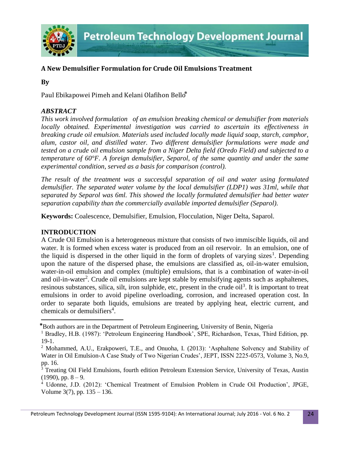

# **A New Demulsifier Formulation for Crude Oil Emulsions Treatment**

**By**

Paul Ebikapowei Pimeh and Kelani Olafihon Bello\*

### *ABSTRACT*

*This work involved formulation of an emulsion breaking chemical or demulsifier from materials locally obtained. Experimental investigation was carried to ascertain its effectiveness in breaking crude oil emulsion. Materials used included locally made liquid soap, starch, camphor, alum, castor oil, and distilled water. Two different demulsifier formulations were made and tested on a crude oil emulsion sample from a Niger Delta field (Oredo Field) and subjected to a temperature of 60°F. A foreign demulsifier, Separol, of the same quantity and under the same experimental condition, served as a basis for comparison (control).* 

*The result of the treatment was a successful separation of oil and water using formulated demulsifier. The separated water volume by the local demulsifier (LDP1) was 31ml, while that separated by Separol was 6ml. This showed the locally formulated demulsifier had better water separation capability than the commercially available imported demulsifier (Separol).*

**Keywords:** Coalescence, Demulsifier, Emulsion, Flocculation, Niger Delta, Saparol.

### **INTRODUCTION**

 $\overline{\phantom{a}}$ 

A Crude Oil Emulsion is a heterogeneous mixture that consists of two immiscible liquids, oil and water. It is formed when excess water is produced from an oil reservoir. In an emulsion, one of the liquid is dispersed in the other liquid in the form of droplets of varying sizes<sup>1</sup>. Depending upon the nature of the dispersed phase, the emulsions are classified as, oil-in-water emulsion, water-in-oil emulsion and complex (multiple) emulsions, that is a combination of water-in-oil and oil-in-water<sup>2</sup>. Crude oil emulsions are kept stable by emulsifying agents such as asphaltenes, resinous substances, silica, silt, iron sulphide, etc, present in the crude oil<sup>3</sup>. It is important to treat emulsions in order to avoid pipeline overloading, corrosion, and increased operation cost. In order to separate both liquids, emulsions are treated by applying heat, electric current, and chemicals or demulsifiers<sup>4</sup>.

<sup>⃰</sup>Both authors are in the Department of Petroleum Engineering, University of Benin, Nigeria

<sup>&</sup>lt;sup>1</sup> Bradley, H.B. (1987): 'Petroleum Engineering Handbook', SPE, Richardson, Texas, Third Edition, pp. 19-1.

<sup>2</sup> Mohammed, A.U., Erakpoweri, T.E., and Onuoha, I. (2013): 'Asphaltene Solvency and Stability of Water in Oil Emulsion-A Case Study of Two Nigerian Crudes', JEPT, ISSN 2225-0573, Volume 3, No.9, pp. 16.

<sup>&</sup>lt;sup>3</sup> Treating Oil Field Emulsions, fourth edition Petroleum Extension Service, University of Texas, Austin  $(1990)$ , pp.  $8 - 9$ .

<sup>4</sup> Udonne, J.D. (2012): 'Chemical Treatment of Emulsion Problem in Crude Oil Production', JPGE, Volume 3(7), pp. 135 – 136.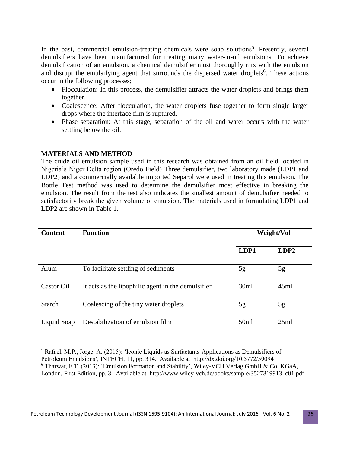In the past, commercial emulsion-treating chemicals were soap solutions<sup>5</sup>. Presently, several demulsifiers have been manufactured for treating many water-in-oil emulsions. To achieve demulsification of an emulsion, a chemical demulsifier must thoroughly mix with the emulsion and disrupt the emulsifying agent that surrounds the dispersed water droplets<sup>6</sup>. These actions occur in the following processes;

- Flocculation: In this process, the demulsifier attracts the water droplets and brings them together.
- Coalescence: After flocculation, the water droplets fuse together to form single larger drops where the interface film is ruptured.
- Phase separation: At this stage, separation of the oil and water occurs with the water settling below the oil.

# **MATERIALS AND METHOD**

The crude oil emulsion sample used in this research was obtained from an oil field located in Nigeria's Niger Delta region (Oredo Field) Three demulsifier, two laboratory made (LDP1 and LDP2) and a commercially available imported Separol were used in treating this emulsion. The Bottle Test method was used to determine the demulsifier most effective in breaking the emulsion. The result from the test also indicates the smallest amount of demulsifier needed to satisfactorily break the given volume of emulsion. The materials used in formulating LDP1 and LDP2 are shown in Table 1.

| <b>Content</b> | <b>Function</b>                                    |      | Weight/Vol |  |
|----------------|----------------------------------------------------|------|------------|--|
|                |                                                    | LDP1 | LDP2       |  |
| Alum           | To facilitate settling of sediments                | 5g   | 5g         |  |
| Castor Oil     | It acts as the lipophilic agent in the demulsifier | 30ml | 45ml       |  |
| <b>Starch</b>  | Coalescing of the tiny water droplets              | 5g   | 5g         |  |
| Liquid Soap    | Destabilization of emulsion film                   | 50ml | 25ml       |  |

 $\overline{\phantom{a}}$  $<sup>5</sup>$  Rafael, M.P., Jorge. A. (2015): 'Iconic Liquids as Surfactants-Applications as Demulsifiers of</sup> Petroleum Emulsions', INTECH, 11, pp. 314. Available at http://dx.doi.org/10.5772/59094 <sup>6</sup> Tharwat, F.T. (2013): 'Emulsion Formation and Stability', Wiley-VCH Verlag GmbH & Co. KGaA, London, First Edition, pp. 3. Available at http://www.wiley-vch.de/books/sample/3527319913\_c01.pdf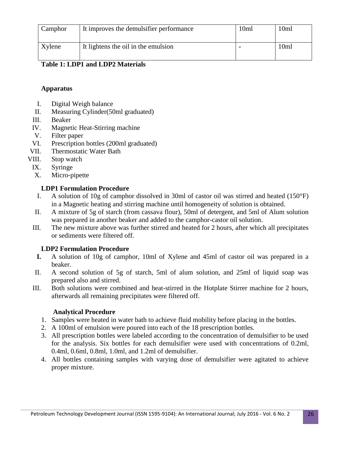| Camphor | It improves the demulsifier performance | 10ml | 10ml |
|---------|-----------------------------------------|------|------|
| Xylene  | It lightens the oil in the emulsion     |      | 10ml |

# **Table 1: LDP1 and LDP2 Materials**

#### **Apparatus**

- I. Digital Weigh balance
- II. Measuring Cylinder(50ml graduated)
- III. Beaker
- IV. Magnetic Heat-Stirring machine
- V. Filter paper
- VI. Prescription bottles (200ml graduated)
- VII. Thermostatic Water Bath
- VIII. Stop watch
	- IX. Syringe
	- X. Micro-pipette

# **LDP1 Formulation Procedure**

- I. A solution of 10g of camphor dissolved in 30ml of castor oil was stirred and heated (150°F) in a Magnetic heating and stirring machine until homogeneity of solution is obtained.
- II. A mixture of 5g of starch (from cassava flour), 50ml of detergent, and 5ml of Alum solution was prepared in another beaker and added to the camphor-castor oil solution.
- III. The new mixture above was further stirred and heated for 2 hours, after which all precipitates or sediments were filtered off.

### **LDP2 Formulation Procedure**

- **I.** A solution of 10g of camphor, 10ml of Xylene and 45ml of castor oil was prepared in a beaker.
- II. A second solution of 5g of starch, 5ml of alum solution, and 25ml of liquid soap was prepared also and stirred.
- III. Both solutions were combined and heat-stirred in the Hotplate Stirrer machine for 2 hours, afterwards all remaining precipitates were filtered off.

### **Analytical Procedure**

- 1. Samples were heated in water bath to achieve fluid mobility before placing in the bottles.
- 2. A 100ml of emulsion were poured into each of the 18 prescription bottles.
- 3. All prescription bottles were labeled according to the concentration of demulsifier to be used for the analysis. Six bottles for each demulsifier were used with concentrations of 0.2ml, 0.4ml, 0.6ml, 0.8ml, 1.0ml, and 1.2ml of demulsifier.
- 4. All bottles containing samples with varying dose of demulsifier were agitated to achieve proper mixture.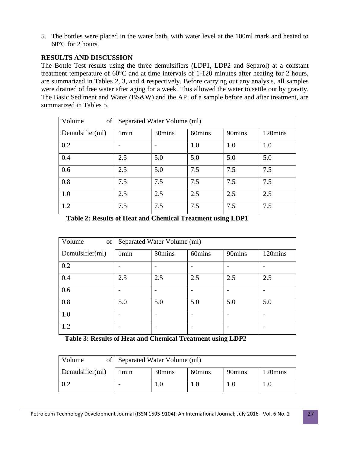5. The bottles were placed in the water bath, with water level at the 100ml mark and heated to 60°C for 2 hours.

# **RESULTS AND DISCUSSION**

The Bottle Test results using the three demulsifiers (LDP1, LDP2 and Separol) at a constant treatment temperature of 60°C and at time intervals of 1-120 minutes after heating for 2 hours, are summarized in Tables 2, 3, and 4 respectively. Before carrying out any analysis, all samples were drained of free water after aging for a week. This allowed the water to settle out by gravity. The Basic Sediment and Water (BS&W) and the API of a sample before and after treatment, are summarized in Tables 5.

| of<br>Volume    | Separated Water Volume (ml) |        |        |        |         |
|-----------------|-----------------------------|--------|--------|--------|---------|
| Demulsifier(ml) | 1 <sub>min</sub>            | 30mins | 60mins | 90mins | 120mins |
| 0.2             |                             |        | 1.0    | 1.0    | 1.0     |
| 0.4             | 2.5                         | 5.0    | 5.0    | 5.0    | 5.0     |
| 0.6             | 2.5                         | 5.0    | 7.5    | 7.5    | 7.5     |
| 0.8             | 7.5                         | 7.5    | 7.5    | 7.5    | 7.5     |
| 1.0             | 2.5                         | 2.5    | 2.5    | 2.5    | 2.5     |
| 1.2             | 7.5                         | 7.5    | 7.5    | 7.5    | 7.5     |

**Table 2: Results of Heat and Chemical Treatment using LDP1**

| Volume<br>of    | Separated Water Volume (ml) |        |        |        |         |
|-----------------|-----------------------------|--------|--------|--------|---------|
| Demulsifier(ml) | 1 <sub>min</sub>            | 30mins | 60mins | 90mins | 120mins |
| 0.2             |                             |        |        |        |         |
| 0.4             | 2.5                         | 2.5    | 2.5    | 2.5    | 2.5     |
| 0.6             |                             |        |        |        |         |
| 0.8             | 5.0                         | 5.0    | 5.0    | 5.0    | 5.0     |
| 1.0             |                             |        |        |        |         |
| 1.2             |                             |        |        |        |         |

**Table 3: Results of Heat and Chemical Treatment using LDP2**

| Volume          | of Separated Water Volume (ml) |        |        |        |         |
|-----------------|--------------------------------|--------|--------|--------|---------|
| Demulsifier(ml) | 1min                           | 30mins | 60mins | 90mins | 120mins |
|                 |                                |        |        |        |         |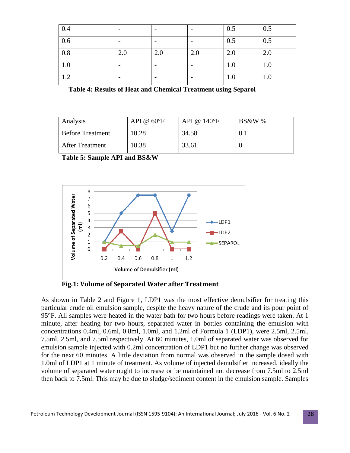| 0.4 |     |     |     | 0.5 | 0.5 |
|-----|-----|-----|-----|-----|-----|
| 0.6 |     |     |     | 0.5 | 0.5 |
| 0.8 | 2.0 | 2.0 | 2.0 | 2.0 | 2.0 |
| 1.0 |     |     |     | 1.0 | 1.0 |
| 1.2 |     |     |     | 1.0 | 1.0 |

|  |  | <b>Table 4: Results of Heat and Chemical Treatment using Separol</b> |  |
|--|--|----------------------------------------------------------------------|--|
|  |  |                                                                      |  |

| Analysis                | API $@60^{\circ}F$ | API @ $140^{\circ}$ F | <b>BS&amp;W</b> % |
|-------------------------|--------------------|-----------------------|-------------------|
| <b>Before Treatment</b> | 10.28              | 34.58                 | O. I              |
| After Treatment         | 10.38              | 33.61                 |                   |

**Table 5: Sample API and BS&W**



**Fig.1: Volume of Separated Water after Treatment**

As shown in Table 2 and Figure 1, LDP1 was the most effective demulsifier for treating this particular crude oil emulsion sample, despite the heavy nature of the crude and its pour point of 95°F. All samples were heated in the water bath for two hours before readings were taken. At 1 minute, after heating for two hours, separated water in bottles containing the emulsion with concentrations 0.4ml, 0.6ml, 0.8ml, 1.0ml, and 1.2ml of Formula 1 (LDP1), were 2.5ml, 2.5ml, 7.5ml, 2.5ml, and 7.5ml respectively. At 60 minutes, 1.0ml of separated water was observed for emulsion sample injected with 0.2ml concentration of LDP1 but no further change was observed for the next 60 minutes. A little deviation from normal was observed in the sample dosed with 1.0ml of LDP1 at 1 minute of treatment. As volume of injected demulsifier increased, ideally the volume of separated water ought to increase or be maintained not decrease from 7.5ml to 2.5ml then back to 7.5ml. This may be due to sludge/sediment content in the emulsion sample. Samples